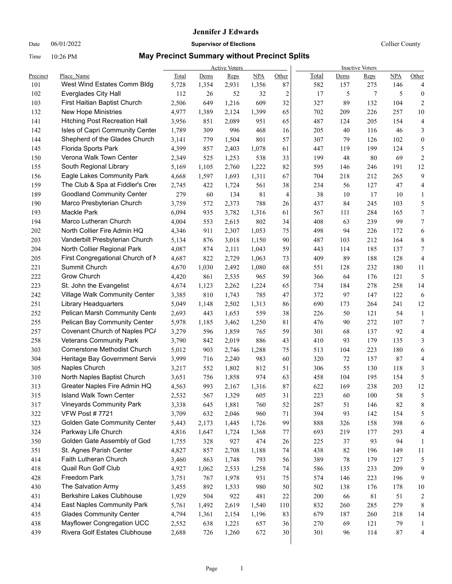## **Jennifer J Edwards**

### Date 06/01/2022 **Supervisor of Elections Supervisor of Elections** Collier County

## Time 10:26 PM **May Precinct Summary without Precinct Splits**

|          |                                      | <b>Active Voters</b> |       |       |            |                | <b>Inactive Voters</b> |        |         |            |                  |  |
|----------|--------------------------------------|----------------------|-------|-------|------------|----------------|------------------------|--------|---------|------------|------------------|--|
| Precinct | Place Name                           | Total                | Dems  | Reps  | <b>NPA</b> | Other          | Total                  | Dems   | Reps    | <b>NPA</b> | Other            |  |
| 101      | West Wind Estates Comm Bldg          | 5,728                | 1,354 | 2,931 | 1,356      | 87             | 582                    | 157    | 275     | 146        | 4                |  |
| 102      | <b>Everglades City Hall</b>          | 112                  | 26    | 52    | 32         | $\overline{c}$ | 17                     | 5      | 7       | 5          | $\boldsymbol{0}$ |  |
| 103      | First Haitian Baptist Church         | 2,506                | 649   | 1,216 | 609        | 32             | 327                    | 89     | 132     | 104        | $\overline{c}$   |  |
| 132      | <b>New Hope Ministries</b>           | 4,977                | 1,389 | 2,124 | 1,399      | 65             | 702                    | 209    | 226     | 257        | 10               |  |
| 141      | <b>Hitching Post Recreation Hall</b> | 3,956                | 851   | 2,089 | 951        | 65             | 487                    | 124    | 205     | 154        | 4                |  |
| 142      | Isles of Capri Community Center      | 1,789                | 309   | 996   | 468        | 16             | 205                    | 40     | 116     | 46         | 3                |  |
| 144      | Shepherd of the Glades Church        | 3,141                | 779   | 1,504 | 801        | 57             | 307                    | 79     | 126     | 102        | 0                |  |
| 145      | Florida Sports Park                  | 4,399                | 857   | 2,403 | 1,078      | 61             | 447                    | 119    | 199     | 124        | 5                |  |
| 150      | Verona Walk Town Center              | 2,349                | 525   | 1,253 | 538        | 33             | 199                    | 48     | 80      | 69         | $\mathfrak{2}$   |  |
| 155      | South Regional Library               | 5,169                | 1,105 | 2,760 | 1,222      | 82             | 595                    | 146    | 246     | 191        | 12               |  |
| 156      | Eagle Lakes Community Park           | 4,668                | 1,597 | 1,693 | 1,311      | 67             | 704                    | 218    | 212     | 265        | 9                |  |
| 159      | The Club & Spa at Fiddler's Cree     | 2,745                | 422   | 1,724 | 561        | 38             | 234                    | 56     | 127     | 47         | 4                |  |
| 189      | <b>Goodland Community Center</b>     | 279                  | 60    | 134   | 81         | 4              | 38                     | 10     | 17      | 10         | 1                |  |
| 190      | Marco Presbyterian Church            | 3,759                | 572   | 2,373 | 788        | 26             | 437                    | 84     | 245     | 103        | 5                |  |
| 193      | <b>Mackle Park</b>                   | 6,094                | 935   | 3,782 | 1,316      | 61             | 567                    | 111    | 284     | 165        | 7                |  |
| 194      | Marco Lutheran Church                | 4,004                | 553   | 2,615 | 802        | 34             | 408                    | 63     | 239     | 99         | 7                |  |
| 202      | North Collier Fire Admin HQ          | 4,346                | 911   | 2,307 | 1,053      | 75             | 498                    | 94     | 226     | 172        | 6                |  |
| 203      | Vanderbilt Presbyterian Church       | 5,134                | 876   | 3,018 | 1,150      | 90             | 487                    | 103    | 212     | 164        | 8                |  |
| 204      | North Collier Regional Park          | 4,087                | 874   | 2,111 | 1,043      | 59             | 443                    | 114    | 185     | 137        | 7                |  |
| 205      | First Congregational Church of M     | 4,687                | 822   | 2,729 | 1,063      | 73             | 409                    | 89     | 188     | 128        | 4                |  |
| 221      | Summit Church                        | 4,670                | 1,030 | 2,492 | 1,080      | 68             | 551                    | 128    | 232     | 180        | 11               |  |
| 222      | Grow Church                          | 4,420                | 861   | 2,535 | 965        | 59             | 366                    | 64     | 176     | 121        | 5                |  |
| 223      | St. John the Evangelist              | 4,674                | 1,123 | 2,262 | 1,224      | 65             | 734                    | 184    | 278     | 258        | 14               |  |
| 242      | Village Walk Community Center        | 3,385                | 810   | 1,743 | 785        | 47             | 372                    | 97     | 147     | 122        | 6                |  |
| 251      | Library Headquarters                 | 5,049                | 1,148 | 2,502 | 1,313      | 86             | 690                    | 173    | 264     | 241        | 12               |  |
| 252      | Pelican Marsh Community Cente        | 2,693                | 443   | 1,653 | 559        | 38             | 226                    | 50     | 121     | 54         | $\mathbf{1}$     |  |
| 255      | Pelican Bay Community Center         | 5,978                | 1,185 | 3,462 | 1,250      | 81             | 476                    | 90     | 272     | 107        | 7                |  |
| 257      | Covenant Church of Naples PC/        | 3,279                | 596   | 1,859 | 765        | 59             | 301                    | 68     | 137     | 92         | 4                |  |
| 258      | <b>Veterans Community Park</b>       | 3,790                | 842   | 2,019 | 886        | 43             | 410                    | 93     | 179     | 135        | 3                |  |
| 303      | Cornerstone Methodist Church         | 5,012                | 903   | 2,746 | 1,288      | 75             | 513                    | 104    | 223     | 180        | 6                |  |
| 304      | Heritage Bay Government Servio       | 3,999                | 716   | 2,240 | 983        | 60             | 320                    | 72     | 157     | 87         | 4                |  |
| 305      | Naples Church                        | 3,217                | 552   | 1,802 | 812        | 51             | 306                    | 55     | 130     | 118        | 3                |  |
| 310      | North Naples Baptist Church          | 3,651                | 756   | 1,858 | 974        | 63             | 458                    | 104    | 195     | 154        | 5                |  |
| 313      | Greater Naples Fire Admin HQ         | 4,563                | 993   | 2,167 | 1,316      | 87             | 622                    | 169    | 238     | 203        | 12               |  |
| 315      | Island Walk Town Center              | 2,532                | 567   | 1,329 | 605        | 31             | 223                    | 60     | $100\,$ | 58         | 5                |  |
| 317      | Vineyards Community Park             | 3,338                | 645   | 1,881 | 760        | 52             | 287                    | 51     | 146     | 82         | 8                |  |
| 322      | <b>VFW Post #7721</b>                | 3,709                | 632   | 2,046 | 960        | 71             | 394                    | 93     | 142     | 154        | 5                |  |
| 323      | <b>Golden Gate Community Center</b>  | 5,443                | 2,173 | 1,445 | 1,726      | 99             | 888                    | 326    | 158     | 398        | 6                |  |
| 324      | Parkway Life Church                  | 4,816                | 1,647 | 1,724 | 1,368      | $77 \,$        | 693                    | 219    | 177     | 293        | 4                |  |
| 350      | Golden Gate Assembly of God          | 1,755                | 328   | 927   | 474        | 26             | 225                    | 37     | 93      | 94         | 1                |  |
| 351      | St. Agnes Parish Center              | 4,827                | 857   | 2,708 | 1,188      | 74             | 438                    | 82     | 196     | 149        | 11               |  |
| 414      | Faith Lutheran Church                | 3,460                | 863   | 1,748 | 793        | 56             | 389                    | $78\,$ | 179     | 127        | 5                |  |
| 418      | Quail Run Golf Club                  | 4,927                | 1,062 | 2,533 | 1,258      | 74             | 586                    | 135    | 233     | 209        | 9                |  |
| 428      | Freedom Park                         | 3,751                | 767   | 1,978 | 931        | 75             | 574                    | 146    | 223     | 196        | 9                |  |
| 430      | The Salvation Army                   | 3,455                | 892   | 1,533 | 980        | 50             | 502                    | 138    | 176     | 178        | $10\,$           |  |
| 431      | <b>Berkshire Lakes Clubhouse</b>     | 1,929                | 504   | 922   | 481        | 22             | 200                    | 66     | 81      | 51         | $\boldsymbol{2}$ |  |
| 434      | East Naples Community Park           | 5,761                | 1,492 | 2,619 | 1,540      | 110            | 832                    | 260    | 285     | 279        | 8                |  |
| 435      | <b>Glades Community Center</b>       | 4,794                | 1,361 | 2,154 | 1,196      | 83             | 679                    | 187    | 260     | 218        | 14               |  |
| 438      | Mayflower Congregation UCC           | 2,552                | 638   | 1,221 | 657        | 36             | 270                    | 69     | 121     | 79         | 1                |  |
| 439      | Rivera Golf Estates Clubhouse        | 2,688                | 726   | 1,260 | 672        | 30             | 301                    | 96     | 114     | $87\,$     | 4                |  |